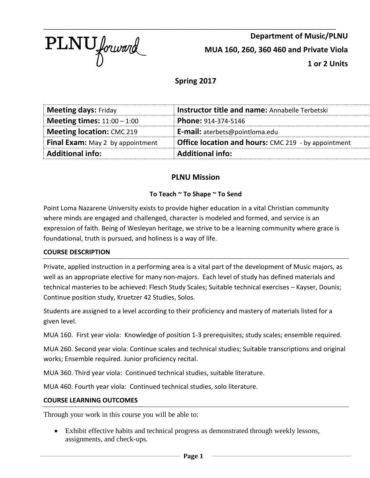

\_\_\_\_\_\_\_\_\_\_\_\_\_\_\_\_\_\_\_\_\_\_\_\_\_\_\_\_\_\_\_\_\_\_\_\_\_\_\_\_\_\_\_\_\_\_\_\_\_\_\_\_\_\_\_\_\_\_\_\_\_\_\_\_\_\_\_\_\_\_\_\_\_\_\_\_\_\_\_\_\_ **Department of Music/PLNU MUA 160, 260, 360 460 and Private Viola 1 or 2 Units**

# **Spring 2017**

| <b>Meeting days: Friday</b>             | <b>Instructor title and name: Annabelle Terbetski</b>      |  |  |
|-----------------------------------------|------------------------------------------------------------|--|--|
| <b>Meeting times:</b> $11:00 - 1:00$    | Phone: 914-374-5146                                        |  |  |
| <b>Meeting location: CMC 219</b>        | <b>E-mail:</b> aterbets@pointloma.edu                      |  |  |
| <b>Final Exam:</b> May 2 by appointment | <b>Office location and hours:</b> CMC 219 - by appointment |  |  |
| <b>Additional info:</b>                 | <b>Additional info:</b>                                    |  |  |

# **PLNU Mission**

# **To Teach ~ To Shape ~ To Send**

Point Loma Nazarene University exists to provide higher education in a vital Christian community where minds are engaged and challenged, character is modeled and formed, and service is an expression of faith. Being of Wesleyan heritage, we strive to be a learning community where grace is foundational, truth is pursued, and holiness is a way of life.

# **COURSE DESCRIPTION**

Private, applied instruction in a performing area is a vital part of the development of Music majors, as well as an appropriate elective for many non-majors. Each level of study has defined materials and technical masteries to be achieved: Flesch Study Scales; Suitable technical exercises – Kayser, Dounis; Continue position study, Kruetzer 42 Studies, Solos.

Students are assigned to a level according to their proficiency and mastery of materials listed for a given level.

MUA 160. First year viola: Knowledge of position 1-3 prerequisites; study scales; ensemble required.

MUA 260. Second year viola: Continue scales and technical studies; Suitable transcriptions and original works; Ensemble required. Junior proficiency recital.

MUA 360. Third year viola: Continued technical studies, suitable literature.

MUA 460. Fourth year viola: Continued technical studies, solo literature.

#### **COURSE LEARNING OUTCOMES**

Through your work in this course you will be able to:

• Exhibit effective habits and technical progress as demonstrated through weekly lessons, assignments, and check-ups.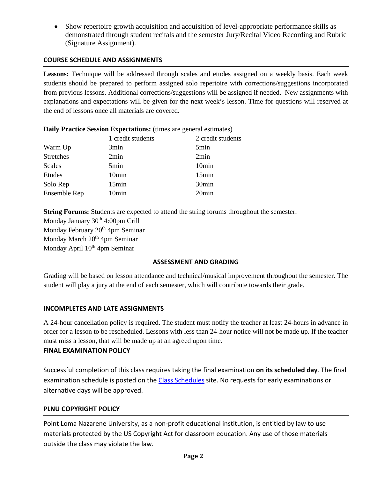• Show repertoire growth acquisition and acquisition of level-appropriate performance skills as demonstrated through student recitals and the semester Jury/Recital Video Recording and Rubric (Signature Assignment).

### **COURSE SCHEDULE AND ASSIGNMENTS**

**Lessons:** Technique will be addressed through scales and etudes assigned on a weekly basis. Each week students should be prepared to perform assigned solo repertoire with corrections/suggestions incorporated from previous lessons. Additional corrections/suggestions will be assigned if needed. New assignments with explanations and expectations will be given for the next week's lesson. Time for questions will reserved at the end of lessons once all materials are covered.

|                  | 1 credit students | 2 credit students |
|------------------|-------------------|-------------------|
| Warm Up          | 3min              | 5min              |
| <b>Stretches</b> | 2min              | 2min              |
| Scales           | 5min              | 10 <sub>min</sub> |
| Etudes           | 10 <sub>min</sub> | 15min             |
| Solo Rep         | 15min             | 30 <sub>min</sub> |
| Ensemble Rep     | 10 <sub>min</sub> | 20 <sub>min</sub> |
|                  |                   |                   |

**Daily Practice Session Expectations:** (times are general estimates)

**String Forums:** Students are expected to attend the string forums throughout the semester. Monday January 30<sup>th</sup> 4:00pm Crill Monday February 20<sup>th</sup> 4pm Seminar Monday March 20<sup>th</sup> 4pm Seminar Monday April 10<sup>th</sup> 4pm Seminar

#### **ASSESSMENT AND GRADING**

Grading will be based on lesson attendance and technical/musical improvement throughout the semester. The student will play a jury at the end of each semester, which will contribute towards their grade.

# **INCOMPLETES AND LATE ASSIGNMENTS**

A 24-hour cancellation policy is required. The student must notify the teacher at least 24-hours in advance in order for a lesson to be rescheduled. Lessons with less than 24-hour notice will not be made up. If the teacher must miss a lesson, that will be made up at an agreed upon time.

#### **FINAL EXAMINATION POLICY**

Successful completion of this class requires taking the final examination **on its scheduled day**. The final examination schedule is posted on the [Class Schedules](http://www.pointloma.edu/experience/academics/class-schedules) site. No requests for early examinations or alternative days will be approved.

## **PLNU COPYRIGHT POLICY**

Point Loma Nazarene University, as a non-profit educational institution, is entitled by law to use materials protected by the US Copyright Act for classroom education. Any use of those materials outside the class may violate the law.